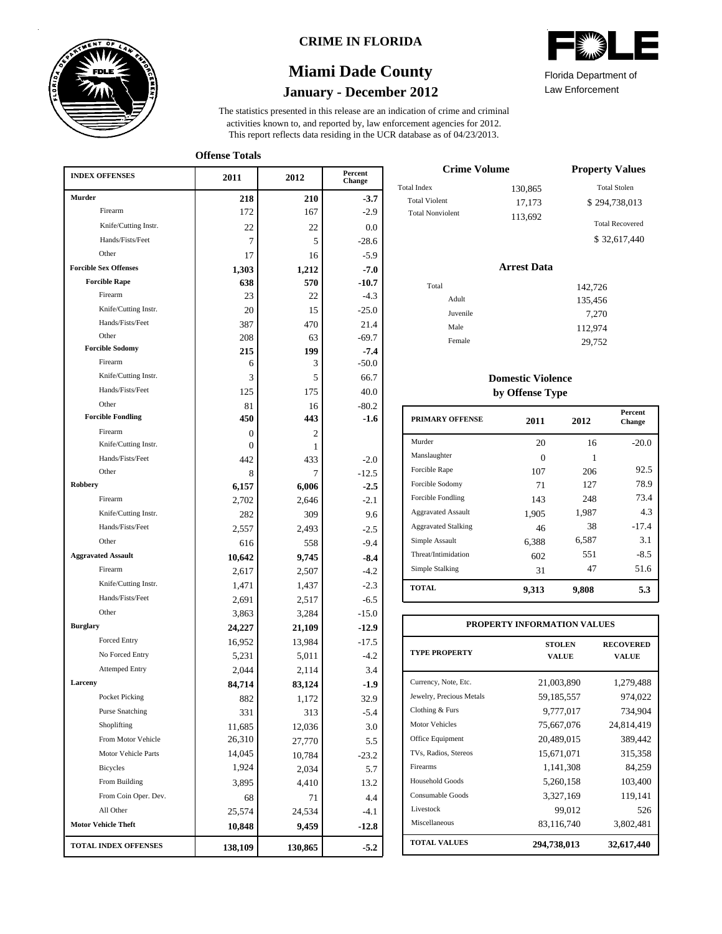

### **CRIME IN FLORIDA**

## **January - December 2012 Miami Dade County**

This report reflects data residing in the UCR database as of 04/23/2013. activities known to, and reported by, law enforcement agencies for 2012. The statistics presented in this release are an indication of crime and criminal

Law Enforcement Florida Department of

**Offense Totals**

| <b>INDEX OFFENSES</b>             | 2011          | 2012    | Percent<br>Change |
|-----------------------------------|---------------|---------|-------------------|
| Murder                            | 218           | 210     | $-3.7$            |
| Firearm                           | 172           | 167     | $-2.9$            |
| Knife/Cutting Instr.              | 22            | 22      | 0.0               |
| Hands/Fists/Feet                  | 7             | 5       | $-28.6$           |
| Other                             | 17            | 16      | $-5.9$            |
| <b>Forcible Sex Offenses</b>      | 1,303         | 1,212   | $-7.0$            |
| <b>Forcible Rape</b>              | 638           | 570     | $-10.7$           |
| Firearm                           | 23            | 22      | $-4.3$            |
| Knife/Cutting Instr.              | 20            | 15      | $-25.0$           |
| Hands/Fists/Feet                  | 387           | 470     | 21.4              |
| Other                             | 208           | 63      | $-69.7$           |
| <b>Forcible Sodomy</b>            | 215           | 199     | $-7.4$            |
| Firearm                           | 6             | 3       | $-50.0$           |
| Knife/Cutting Instr.              | 3             | 5       | 66.7              |
| Hands/Fists/Feet                  | 125           | 175     | 40.0              |
| Other<br><b>Forcible Fondling</b> | 81            | 16      | $-80.2$           |
| Firearm                           | 450           | 443     | $-1.6$            |
| Knife/Cutting Instr.              | 0<br>$\Omega$ | 2<br>1  |                   |
| Hands/Fists/Feet                  | 442           | 433     | $-2.0$            |
| Other                             | 8             | 7       | $-12.5$           |
| <b>Robbery</b>                    | 6,157         | 6,006   | $-2.5$            |
| Firearm                           | 2,702         | 2,646   | $-2.1$            |
| Knife/Cutting Instr.              | 282           | 309     | 9.6               |
| Hands/Fists/Feet                  | 2,557         | 2,493   | $-2.5$            |
| Other                             | 616           | 558     | $-9.4$            |
| <b>Aggravated Assault</b>         | 10,642        | 9,745   | $-8.4$            |
| Firearm                           | 2,617         | 2,507   | $-4.2$            |
| Knife/Cutting Instr.              | 1,471         | 1,437   | $-2.3$            |
| Hands/Fists/Feet                  | 2,691         | 2,517   | $-6.5$            |
| Other                             | 3,863         | 3,284   | $-15.0$           |
| <b>Burglary</b>                   | 24,227        | 21,109  | $-12.9$           |
| <b>Forced Entry</b>               | 16,952        | 13,984  | $-17.5$           |
| No Forced Entry                   | 5,231         | 5,011   | $-4.2$            |
| <b>Attemped Entry</b>             | 2,044         | 2,114   | 3.4               |
| Larceny                           | 84,714        | 83,124  | $-1.9$            |
| Pocket Picking                    | 882           | 1,172   | 32.9              |
| <b>Purse Snatching</b>            | 331           | 313     | $-5.4$            |
| Shoplifting                       | 11,685        | 12,036  | 3.0               |
| From Motor Vehicle                | 26,310        | 27,770  | 5.5               |
| Motor Vehicle Parts               | 14,045        | 10,784  | $-23.2$           |
| Bicycles                          | 1,924         | 2,034   | 5.7               |
| From Building                     | 3,895         | 4,410   | 13.2              |
| From Coin Oper. Dev.              | 68            | 71      | 4.4               |
| All Other                         | 25,574        | 24,534  | $-4.1$            |
| <b>Motor Vehicle Theft</b>        | 10,848        | 9,459   | $-12.8$           |
| <b>TOTAL INDEX OFFENSES</b>       | 138,109       | 130,865 | $-5.2$            |

| <b>Crime Volume</b>     | <b>Property Values</b> |                        |
|-------------------------|------------------------|------------------------|
| <b>Total Index</b>      | 130,865                | <b>Total Stolen</b>    |
| <b>Total Violent</b>    | 17,173                 | \$294,738,013          |
| <b>Total Nonviolent</b> | 113,692                | <b>Total Recovered</b> |
|                         |                        | \$32,617,440           |

#### **Arrest Data**

| Total    | 142,726 |
|----------|---------|
| Adult    | 135,456 |
| Juvenile | 7,270   |
| Male     | 112,974 |
| Female   | 29,752  |
|          |         |

### **Domestic Violence by Offense Type**

| <b>PRIMARY OFFENSE</b>     | 2011  | 2012  | <b>Percent</b><br>Change |
|----------------------------|-------|-------|--------------------------|
| Murder                     | 20    | 16    | $-20.0$                  |
| Manslaughter               | 0     | 1     |                          |
| Forcible Rape              | 107   | 206   | 92.5                     |
| Forcible Sodomy            | 71    | 127   | 78.9                     |
| Forcible Fondling          | 143   | 248   | 73.4                     |
| <b>Aggravated Assault</b>  | 1,905 | 1,987 | 4.3                      |
| <b>Aggravated Stalking</b> | 46    | 38    | $-17.4$                  |
| Simple Assault             | 6,388 | 6,587 | 3.1                      |
| Threat/Intimidation        | 602   | 551   | $-8.5$                   |
| Simple Stalking            | 31    | 47    | 51.6                     |
| <b>TOTAL</b>               | 9,313 | 9,808 | 5.3                      |

| PROPERTY INFORMATION VALUES |                               |                           |  |  |  |  |  |
|-----------------------------|-------------------------------|---------------------------|--|--|--|--|--|
| <b>TYPE PROPERTY</b>        | <b>STOLEN</b><br><b>VALUE</b> | <b>RECOVERED</b><br>VALUE |  |  |  |  |  |
| Currency, Note, Etc.        | 21,003,890                    | 1,279,488                 |  |  |  |  |  |
| Jewelry, Precious Metals    | 59,185,557                    | 974,022                   |  |  |  |  |  |
| Clothing & Furs             | 9,777,017                     | 734,904                   |  |  |  |  |  |
| <b>Motor Vehicles</b>       | 75,667,076                    | 24,814,419                |  |  |  |  |  |
| Office Equipment            | 20,489,015                    | 389,442                   |  |  |  |  |  |
| TVs, Radios, Stereos        | 15,671,071                    | 315,358                   |  |  |  |  |  |
| Firearms                    | 1,141,308                     | 84,259                    |  |  |  |  |  |
| Household Goods             | 5,260,158                     | 103,400                   |  |  |  |  |  |
| Consumable Goods            | 3,327,169                     | 119,141                   |  |  |  |  |  |
| Livestock                   | 99,012                        | 526                       |  |  |  |  |  |
| Miscellaneous               | 83,116,740                    | 3,802,481                 |  |  |  |  |  |
| <b>TOTAL VALUES</b>         | 294,738,013                   | 32,617,440                |  |  |  |  |  |